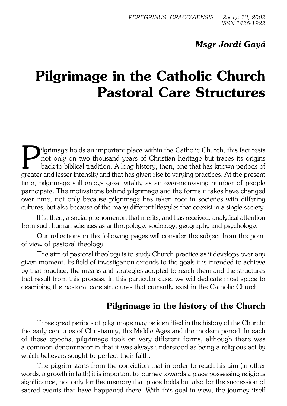## *Msgr Jordi Gayá*

# **Pilgrimage in the Catholic Church Pastoral Care Structures**

**P** ilgrimage holds an important place within the Catholic Church, this fact rests not only on two thousand years of Christian heritage but traces its origins back to biblical tradition. A long history, then, one that has ilgrimage holds an important place within the Catholic Church, this fact rests not only on two thousand years of Christian heritage but traces its origins back to biblical tradition. A long history, then, one that has known periods of time, pilgrimage still enjoys great vitality as an ever−increasing number of people participate. The motivations behind pilgrimage and the forms it takes have changed over time, not only because pilgrimage has taken root in societies with differing cultures, but also because of the many different lifestyles that coexist in a single society.

It is, then, a social phenomenon that merits, and has received, analytical attention from such human sciences as anthropology, sociology, geography and psychology.

Our reflections in the following pages will consider the subject from the point of view of pastoral theology.

The aim of pastoral theology is to study Church practice as it develops over any given moment. Its field of investigation extends to the goals it is intended to achieve by that practice, the means and strategies adopted to reach them and the structures that result from this process. In this particular case, we will dedicate most space to describing the pastoral care structures that currently exist in the Catholic Church.

### **Pilgrimage in the history of the Church**

Three great periods of pilgrimage may be identified in the history of the Church: the early centuries of Christianity, the Middle Ages and the modern period. In each of these epochs, pilgrimage took on very different forms; although there was acommon denominator in that it was always understood as being a religious act by which believers sought to perfect their faith.

The pilgrim starts from the conviction that in order to reach his aim (in other words, a growth in faith) it is important to journey towards a place possessing religious significance, not only for the memory that place holds but also for the succession of sacred events that have happened there. With this goal in view, the journey itself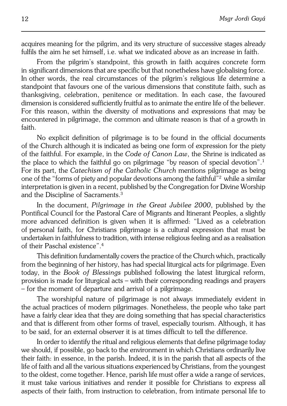acquires meaning for the pilgrim, and its very structure of successive stages already fulfils the aim he set himself, i.e. what we indicated above as an increase in faith.

From the pilgrim's standpoint, this growth in faith acquires concrete form in significant dimensions that are specific but that nonetheless have globalising force. In other words, the real circumstances of the pilgrim's religious life determine a standpoint that favours one of the various dimensions that constitute faith, such as thanksgiving, celebration, penitence or meditation. In each case, the favoured dimension is considered sufficiently fruitful as to animate the entire life of the believer. For this reason, within the diversity of motivations and expressions that may be encountered in pilgrimage, the common and ultimate reason is that of a growth in faith.

No explicit definition of pilgrimage is to be found in the official documents of the Church although it is indicated as being one form of expression for the piety of the faithful. For example, in the *Code of Canon Law*, the Shrine is indicated as the place to which the faithful go on pilgrimage "by reason of special devotion".<sup>1</sup> For its part, the *Catechism of the Catholic Church* mentions pilgrimage as being one of the "forms of piety and popular devotions among the faithful"<sup>2</sup> while a similar interpretation is given in a recent, published by the Congregation for Divine Worship and the Discipline of Sacraments.<sup>3</sup>

In the document, *Pilgrimage in the Great Jubilee 2000*, published by the Pontifical Council for the Pastoral Care of Migrants and Itinerant Peoples, a slightly more advanced definition is given when it is affirmed: "Lived as a celebration of personal faith, for Christians pilgrimage is a cultural expression that must be undertaken in faithfulness to tradition, with intense religious feeling and as a realisation of their Paschal existence".<sup>4</sup>

This definition fundamentally covers the practice of the Church which, practically from the beginning of her history, has had special liturgical acts for pilgrimage. Even today, in the *Book of Blessings* published following the latest liturgical reform, provision is made for liturgical acts – with their corresponding readings and prayers – for the moment of departure and arrival of a pilgrimage.

The worshipful nature of pilgrimage is not always immediately evident in the actual practices of modern pilgrimages. Nonetheless, the people who take part have a fairly clear idea that they are doing something that has special characteristics and that is different from other forms of travel, especially tourism. Although, it has to be said, for an external observer it is at times difficult to tell the difference.

In order to identify the ritual and religious elements that define pilgrimage today we should, if possible, go back to the environment in which Christians ordinarily live their faith: in essence, in the parish. Indeed, it is in the parish that all aspects of the life of faith and all the various situations experienced by Christians, from the youngest to the oldest, come together. Hence, parish life must offer a wide a range of services, it must take various initiatives and render it possible for Christians to express all aspects of their faith, from instruction to celebration, from intimate personal life to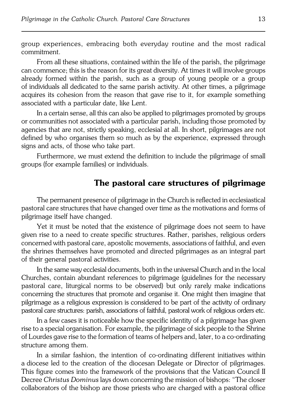group experiences, embracing both everyday routine and the most radical commitment.

From all these situations, contained within the life of the parish, the pilgrimage can commence; this is the reason for its great diversity. At times it will involve groups already formed within the parish, such as a group of young people or a group ofindividuals all dedicated to the same parish activity. At other times, a pilgrimage acquires its cohesion from the reason that gave rise to it, for example something associated with a particular date, like Lent.

In a certain sense, all this can also be applied to pilgrimages promoted by groups or communities not associated with a particular parish, including those promoted by agencies that are not, strictly speaking, ecclesial at all. In short, pilgrimages are not defined by who organises them so much as by the experience, expressed through signs and acts, of those who take part.

Furthermore, we must extend the definition to include the pilgrimage of small groups (for example families) or individuals.

#### **The pastoral care structures of pilgrimage**

The permanent presence of pilgrimage in the Church is reflected in ecclesiastical pastoral care structures that have changed over time as the motivations and forms of pilgrimage itself have changed.

Yet it must be noted that the existence of pilgrimage does not seem to have given rise to a need to create specific structures. Rather, parishes, religious orders concerned with pastoral care, apostolic movements, associations of faithful, andeven the shrines themselves have promoted and directed pilgrimages as an integral part of their general pastoral activities.

In the same way ecclesial documents, both in the universal Church and in thelocal Churches, contain abundant references to pilgrimage (guidelines for the necessary pastoral care, liturgical norms to be observed) but only rarely make indications concerning the structures that promote and organise it. One might then imagine that pilgrimage as a religious expression is considered to be part of the activity of ordinary pastoral care structures: parish, associations of faithful, pastoral work of religious orders etc.

In a few cases it is noticeable how the specific identity of a pilgrimage has given rise to a special organisation. For example, the pilgrimage of sick people to the Shrine of Lourdes gave rise to the formation of teams of helpers and, later, to a co−ordinating structure among them.

In a similar fashion, the intention of co−ordinating different initiatives within adiocese led to the creation of the diocesan Delegate or Director of pilgrimages. This figure comes into the framework of the provisions that the Vatican Council II Decree *Christus Dominus* lays down concerning the mission of bishops: "The closer collaborators of the bishop are those priests who are charged with a pastoral office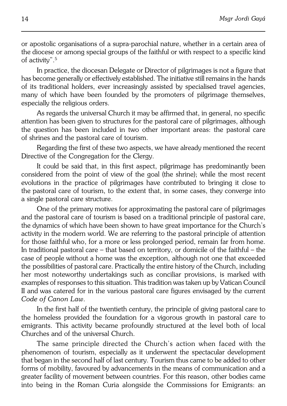In practice, the diocesan Delegate or Director of pilgrimages is not a figure that has become generally or effectively established. The initiative still remains in the hands of its traditional holders, ever increasingly assisted by specialised travel agencies, many of which have been founded by the promoters of pilgrimage themselves, especially the religious orders.

As regards the universal Church it may be affirmed that, in general, no specific attention has been given to structures for the pastoral care of pilgrimages, although the question has been included in two other important areas: the pastoral care of shrines and the pastoral care of tourism.

Regarding the first of these two aspects, we have already mentioned the recent Directive of the Congregation for the Clergy.

It could be said that, in this first aspect, pilgrimage has predominantly been considered from the point of view of the goal (the shrine); while the most recent evolutions in the practice of pilgrimages have contributed to bringing it close to the pastoral care of tourism, to the extent that, in some cases, they converge into a single pastoral care structure.

One of the primary motives for approximating the pastoral care of pilgrimages and the pastoral care of tourism is based on a traditional principle of pastoral care, the dynamics of which have been shown to have great importance for the Church's activity in the modern world. We are referring to the pastoral principle of attention for those faithful who, for a more or less prolonged period, remain far from home. In traditional pastoral care – that based on territory, or domicile of the faithful – the case of people without a home was the exception, although not one that exceeded the possibilities of pastoral care. Practically the entire history of the Church, including her most noteworthy undertakings such as conciliar provisions, is marked with examples of responses to this situation. This tradition was taken up by Vatican Council II andwas catered for in the various pastoral care figures envisaged by the current *Code of Canon Law*.

In the first half of the twentieth century, the principle of giving pastoral care to the homeless provided the foundation for a vigorous growth in pastoral care to emigrants. This activity became profoundly structured at the level both of local Churches and of the universal Church.

The same principle directed the Church's action when faced with the phenomenon of tourism, especially as it underwent the spectacular development that began in the second half of last century. Tourism thus came to be added to other forms of mobility, favoured by advancements in the means of communication and a greater facility of movement between countries. For this reason, other bodies came into being in the Roman Curia alongside the Commissions for Emigrants: an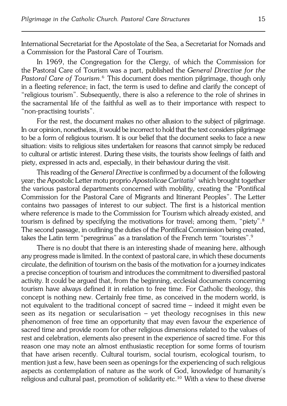International Secretariat for the Apostolate of the Sea, a Secretariat for Nomads and a Commission for the Pastoral Care of Tourism.

In 1969, the Congregation for the Clergy, of which the Commission for thePastoral Care of Tourism was a part, published the *General Directive for the Pastoral Care of Tourism*. 6 This document does mention pilgrimage, though only in a fleeting reference; in fact, the term is used to define and clarify the concept of "religious tourism". Subsequently, there is also a reference to the role of shrines in the sacramental life of the faithful as well as to their importance with respect to "non−practising tourists".

For the rest, the document makes no other allusion to the subject of pilgrimage. In our opinion, nonetheless, it would be incorrect to hold that the text considers pilgrimage to be a form of religious tourism. It is our belief that the document seeks to face a new situation: visits to religious sites undertaken for reasons that cannot simply be reduced to cultural or artistic interest. During these visits, the tourists show feelings of faith and piety, expressed in acts and, especially, in their behaviour during the visit.

This reading of the *General Directive* is confirmed by a document of the following year; the Apostolic Letter motu proprio *Apostolicae Caritatis*<sup>7</sup> which brought together the various pastoral departments concerned with mobility, creating the "Pontifical Commission for the Pastoral Care of Migrants and Itinerant Peoples". TheLetter contains two passages of interest to our subject. The first is a historical mention where reference is made to the Commission for Tourism which already existed, and tourism is defined by specifying the motivations for travel; among them, "piety".<sup>8</sup> The second passage, in outlining the duties of the Pontifical Commission being created, takes the Latin term "peregrinus" as a translation of the French term "touristes".<sup>9</sup>

There is no doubt that there is an interesting shade of meaning here, although any progress made is limited. In the context of pastoral care, in which these documents circulate, the definition of tourism on the basis of the motivation for a journey indicates a precise conception of tourism and introduces the commitment to diversified pastoral activity. It could be argued that, from the beginning, ecclesial documents concerning tourism have always defined it in relation to free time. For Catholic theology, this concept is nothing new. Certainly free time, as conceived in themodern world, is not equivalent to the traditional concept of sacred time – indeed it might even be seen as its negation or secularisation – yet theology recognises in this new phenomenon of free time an opportunity that may even favour the experience of sacred time and provide room for other religious dimensions related to the values of rest and celebration, elements also present in the experience of sacred time. For this reason one may note an almost enthusiastic reception for some forms of tourism that have arisen recently. Cultural tourism, social tourism, ecological tourism, to mention just a few, have been seen as openings for the experiencing of such religious aspects as contemplation of nature as the work of God, knowledge of humanity's religious and cultural past, promotion of solidarity etc.<sup>10</sup> With a view to these diverse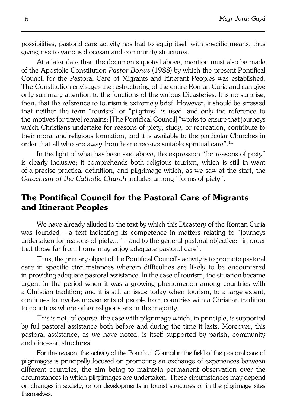possibilities, pastoral care activity has had to equip itself with specific means, thus giving rise to various diocesan and community structures.

At a later date than the documents quoted above, mention must also be made of the Apostolic Constitution *Pastor Bonus* (1988) by which the present Pontifical Council for the Pastoral Care of Migrants and Itinerant Peoples was established. The Constitution envisages the restructuring of the entire Roman Curia and can give only summary attention to the functions of the various Dicasteries. It is no surprise, then, that the reference to tourism is extremely brief. However, it should be stressed that neither the term "tourists" or "pilgrims" is used, and only the reference to the motives for travel remains: [The Pontifical Council] "works to ensure that journeys which Christians undertake for reasons of piety, study, or recreation, contribute to their moral and religious formation, and it is available to the particular Churches in order that all who are away from home receive suitable spiritual care".<sup>11</sup>

In the light of what has been said above, the expression "for reasons of piety" is clearly inclusive; it comprehends both religious tourism, which is still in want ofaprecise practical definition, and pilgrimage which, as we saw at the start, the *Catechism of the Catholic Church* includes among "forms of piety".

## **The Pontifical Council for the Pastoral Care of Migrants and Itinerant Peoples**

We have already alluded to the text by which this Dicastery of the Roman Curia was founded – a text indicating its competence in matters relating to "journeys undertaken for reasons of piety..." – and to the general pastoral objective: "in order that those far from home may enjoy adequate pastoral care".

Thus, the primary object of the Pontifical Council's activity is to promote pastoral care in specific circumstances wherein difficulties are likely to be encountered in providing adequate pastoral assistance. In the case of tourism, the situation became urgent in the period when it was a growing phenomenon among countries with aChristian tradition; and it is still an issue today when tourism, to a large extent, continues to involve movements of people from countries with a Christian tradition to countries where other religions are in the majority.

This is not, of course, the case with pilgrimage which, in principle, is supported by full pastoral assistance both before and during the time it lasts. Moreover, this pastoral assistance, as we have noted, is itself supported by parish, community and diocesan structures.

For this reason, the activity of the Pontifical Council in the field of the pastoral care of pilgrimages is principally focused on promoting an exchange of experiences between different countries, the aim being to maintain permanent observation over the circumstances in which pilgrimages are undertaken. These circumstances may depend on changes in society, or on developments in tourist structures or in the pilgrimage sites themselves.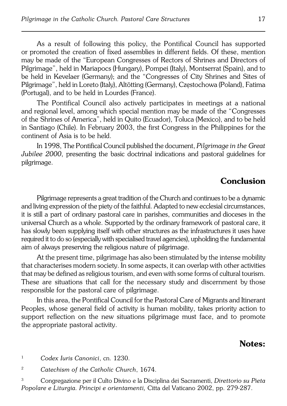As a result of following this policy, the Pontifical Council has supported or promoted the creation of fixed assemblies in different fields. Of these, mention may be made of the "European Congresses of Rectors of Shrines and Directors of Pilgrimage", held in Mariapocs (Hungary), Pompei (Italy), Montserrat (Spain), and to be held in Kevelaer (Germany); and the "Congresses of City Shrines and Sites of Pilgrimage", held in Loreto (Italy), Altötting (Germany), Częstochowa (Poland), Fatima (Portugal), and to be held in Lourdes (France).

The Pontifical Council also actively participates in meetings at a national and regional level, among which special mention may be made of the "Congresses" of theShrines of America", held in Quito (Ecuador), Toluca (Mexico), and to be held in Santiago (Chile). In February 2003, the first Congress in the Philippines for the continent of Asia is to be held.

In 1998, The Pontifical Council published the document, *Pilgrimage in theGreat Jubilee 2000*, presenting the basic doctrinal indications and pastoral guidelines for pilgrimage.

#### **Conclusion**

Pilgrimage represents a great tradition of the Church and continues to be a dynamic and living expression of the piety of the faithful. Adapted to new ecclesial circumstances, it is still a part of ordinary pastoral care in parishes, communities and dioceses in the universal Church as a whole. Supported by the ordinary framework of pastoral care, it has slowly been supplying itself with other structures as the infrastructures it uses have required it to do so (especially with specialised travel agencies), upholding the fundamental aim of always preserving the religious nature of pilgrimage.

At the present time, pilgrimage has also been stimulated by the intense mobility that characterises modern society. In some aspects, it can overlap with other activities that may be defined as religious tourism, and even with some forms of cultural tourism. These are situations that call for the necessary study and discernment by those responsible for the pastoral care of pilgrimage.

In this area, the Pontifical Council for the Pastoral Care of Migrants and Itinerant Peoples, whose general field of activity is human mobility, takes priority action to support reflection on the new situations pilgrimage must face, and to promote the appropriate pastoral activity.

#### **Notes:**

<sup>1</sup> *Codex Iuris Canonici*, cn. 1230.

<sup>2</sup> *Catechism of the Catholic Church*, 1674.

<sup>3</sup> Congregazione per il Culto Divino e la Disciplina dei Sacramenti, *Direttorio su Pieta Popolare e Liturgia. Principi e orientamenti,* Citta del Vaticano 2002, pp. 279−287.